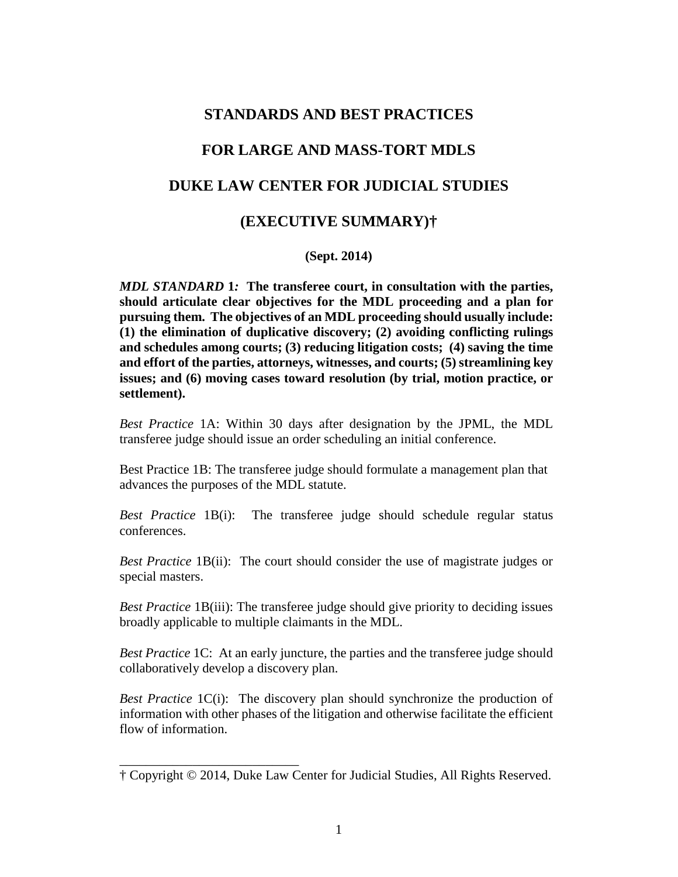# **STANDARDS AND BEST PRACTICES FOR LARGE AND MASS-TORT MDLS DUKE LAW CENTER FOR JUDICIAL STUDIES (EXECUTIVE SUMMARY)†**

# **(Sept. 2014)**

*MDL STANDARD* **1***:* **The transferee court, in consultation with the parties, should articulate clear objectives for the MDL proceeding and a plan for pursuing them. The objectives of an MDL proceeding should usually include: (1) the elimination of duplicative discovery; (2) avoiding conflicting rulings and schedules among courts; (3) reducing litigation costs; (4) saving the time and effort of the parties, attorneys, witnesses, and courts; (5) streamlining key issues; and (6) moving cases toward resolution (by trial, motion practice, or settlement).**

*Best Practice* 1A: Within 30 days after designation by the JPML, the MDL transferee judge should issue an order scheduling an initial conference.

Best Practice 1B: The transferee judge should formulate a management plan that advances the purposes of the MDL statute.

*Best Practice* 1B(i): The transferee judge should schedule regular status conferences.

*Best Practice* 1B(ii): The court should consider the use of magistrate judges or special masters.

*Best Practice* 1B(iii): The transferee judge should give priority to deciding issues broadly applicable to multiple claimants in the MDL.

*Best Practice* 1C: At an early juncture, the parties and the transferee judge should collaboratively develop a discovery plan.

*Best Practice* 1C(i): The discovery plan should synchronize the production of information with other phases of the litigation and otherwise facilitate the efficient flow of information.

\_\_\_\_\_\_\_\_\_\_\_\_\_\_\_\_\_\_\_\_\_\_\_\_\_\_\_

<sup>†</sup> Copyright © 2014, Duke Law Center for Judicial Studies, All Rights Reserved.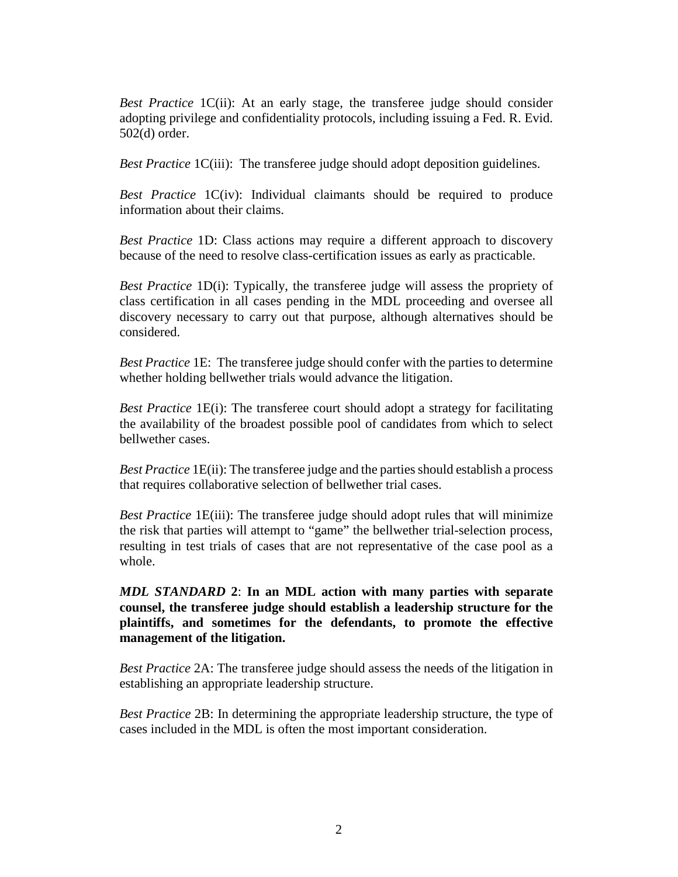*Best Practice* 1C(ii): At an early stage, the transferee judge should consider adopting privilege and confidentiality protocols, including issuing a Fed. R. Evid. 502(d) order.

*Best Practice* 1C(iii): The transferee judge should adopt deposition guidelines.

*Best Practice* 1C(iv): Individual claimants should be required to produce information about their claims.

*Best Practice* 1D: Class actions may require a different approach to discovery because of the need to resolve class-certification issues as early as practicable.

*Best Practice* 1D(i): Typically, the transferee judge will assess the propriety of class certification in all cases pending in the MDL proceeding and oversee all discovery necessary to carry out that purpose, although alternatives should be considered.

*Best Practice* 1E: The transferee judge should confer with the parties to determine whether holding bellwether trials would advance the litigation.

*Best Practice* 1E(i): The transferee court should adopt a strategy for facilitating the availability of the broadest possible pool of candidates from which to select bellwether cases.

*Best Practice* 1E(ii): The transferee judge and the parties should establish a process that requires collaborative selection of bellwether trial cases.

*Best Practice* 1E(iii): The transferee judge should adopt rules that will minimize the risk that parties will attempt to "game" the bellwether trial-selection process, resulting in test trials of cases that are not representative of the case pool as a whole.

*MDL STANDARD* **2**: **In an MDL action with many parties with separate counsel, the transferee judge should establish a leadership structure for the plaintiffs, and sometimes for the defendants, to promote the effective management of the litigation.**

*Best Practice* 2A: The transferee judge should assess the needs of the litigation in establishing an appropriate leadership structure.

*Best Practice* 2B: In determining the appropriate leadership structure, the type of cases included in the MDL is often the most important consideration.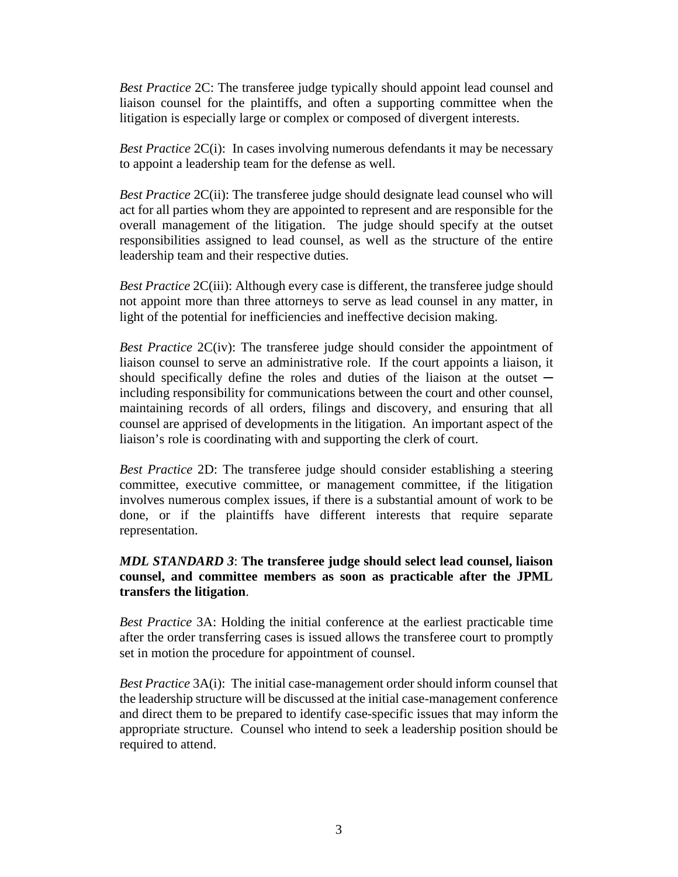*Best Practice* 2C: The transferee judge typically should appoint lead counsel and liaison counsel for the plaintiffs, and often a supporting committee when the litigation is especially large or complex or composed of divergent interests.

*Best Practice* 2C(i): In cases involving numerous defendants it may be necessary to appoint a leadership team for the defense as well.

*Best Practice* 2C(ii): The transferee judge should designate lead counsel who will act for all parties whom they are appointed to represent and are responsible for the overall management of the litigation. The judge should specify at the outset responsibilities assigned to lead counsel, as well as the structure of the entire leadership team and their respective duties.

*Best Practice* 2C(iii): Although every case is different, the transferee judge should not appoint more than three attorneys to serve as lead counsel in any matter, in light of the potential for inefficiencies and ineffective decision making.

*Best Practice* 2C(iv): The transferee judge should consider the appointment of liaison counsel to serve an administrative role. If the court appoints a liaison, it should specifically define the roles and duties of the liaison at the outset  $$ including responsibility for communications between the court and other counsel, maintaining records of all orders, filings and discovery, and ensuring that all counsel are apprised of developments in the litigation. An important aspect of the liaison's role is coordinating with and supporting the clerk of court.

*Best Practice* 2D: The transferee judge should consider establishing a steering committee, executive committee, or management committee, if the litigation involves numerous complex issues, if there is a substantial amount of work to be done, or if the plaintiffs have different interests that require separate representation.

# *MDL STANDARD 3*: **The transferee judge should select lead counsel, liaison counsel, and committee members as soon as practicable after the JPML transfers the litigation**.

*Best Practice* 3A: Holding the initial conference at the earliest practicable time after the order transferring cases is issued allows the transferee court to promptly set in motion the procedure for appointment of counsel.

*Best Practice* 3A(i): The initial case-management order should inform counsel that the leadership structure will be discussed at the initial case-management conference and direct them to be prepared to identify case-specific issues that may inform the appropriate structure. Counsel who intend to seek a leadership position should be required to attend.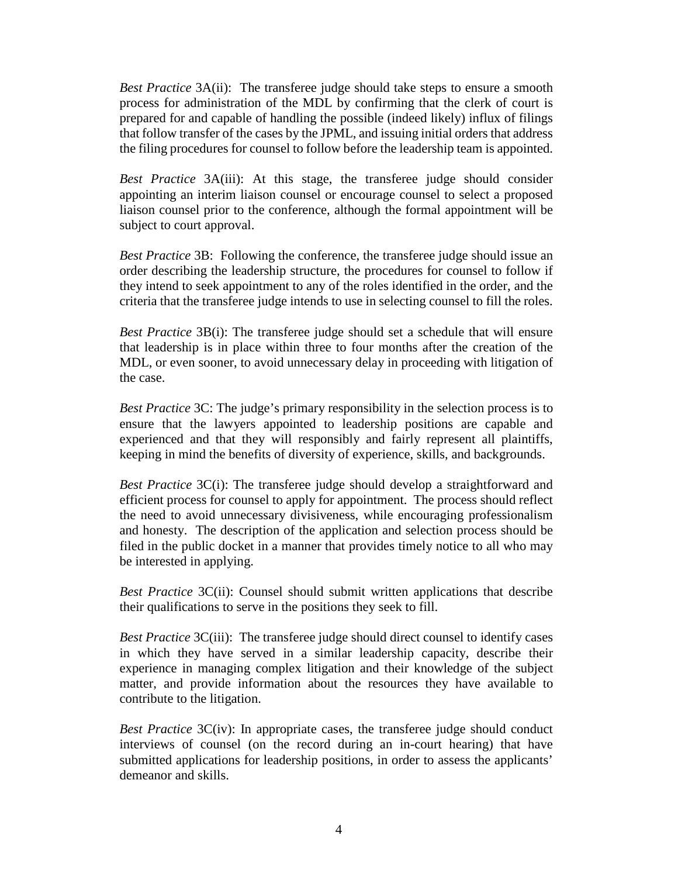*Best Practice* 3A(ii): The transferee judge should take steps to ensure a smooth process for administration of the MDL by confirming that the clerk of court is prepared for and capable of handling the possible (indeed likely) influx of filings that follow transfer of the cases by the JPML, and issuing initial orders that address the filing procedures for counsel to follow before the leadership team is appointed.

*Best Practice* 3A(iii): At this stage, the transferee judge should consider appointing an interim liaison counsel or encourage counsel to select a proposed liaison counsel prior to the conference, although the formal appointment will be subject to court approval.

*Best Practice* 3B: Following the conference, the transferee judge should issue an order describing the leadership structure, the procedures for counsel to follow if they intend to seek appointment to any of the roles identified in the order, and the criteria that the transferee judge intends to use in selecting counsel to fill the roles.

*Best Practice* 3B(i): The transferee judge should set a schedule that will ensure that leadership is in place within three to four months after the creation of the MDL, or even sooner, to avoid unnecessary delay in proceeding with litigation of the case.

*Best Practice* 3C: The judge's primary responsibility in the selection process is to ensure that the lawyers appointed to leadership positions are capable and experienced and that they will responsibly and fairly represent all plaintiffs, keeping in mind the benefits of diversity of experience, skills, and backgrounds.

*Best Practice* 3C(i): The transferee judge should develop a straightforward and efficient process for counsel to apply for appointment. The process should reflect the need to avoid unnecessary divisiveness, while encouraging professionalism and honesty. The description of the application and selection process should be filed in the public docket in a manner that provides timely notice to all who may be interested in applying.

*Best Practice* 3C(ii): Counsel should submit written applications that describe their qualifications to serve in the positions they seek to fill.

*Best Practice* 3C(iii): The transferee judge should direct counsel to identify cases in which they have served in a similar leadership capacity, describe their experience in managing complex litigation and their knowledge of the subject matter, and provide information about the resources they have available to contribute to the litigation.

*Best Practice* 3C(iv): In appropriate cases, the transferee judge should conduct interviews of counsel (on the record during an in-court hearing) that have submitted applications for leadership positions, in order to assess the applicants' demeanor and skills.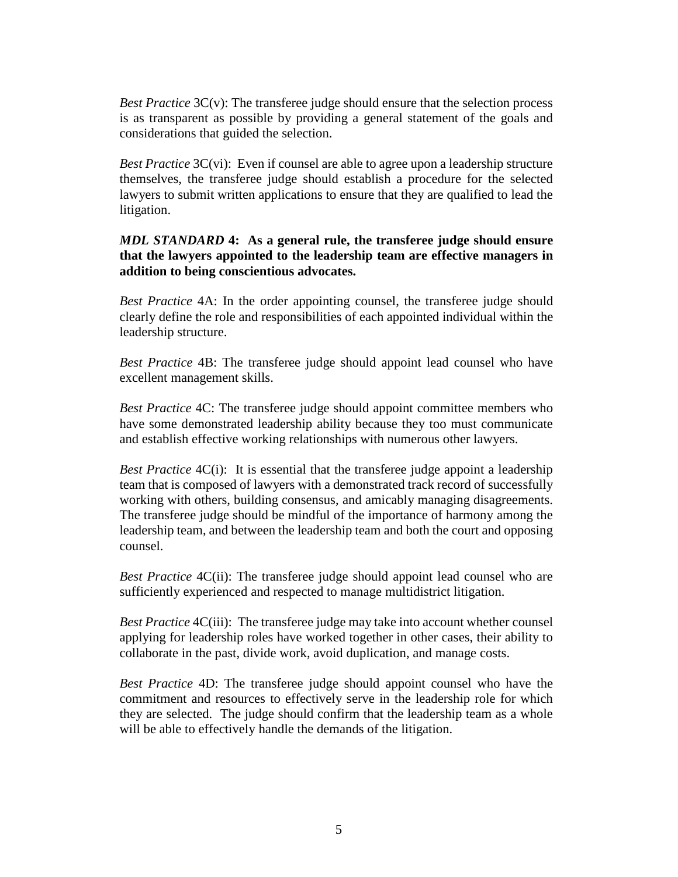*Best Practice* 3C(v): The transferee judge should ensure that the selection process is as transparent as possible by providing a general statement of the goals and considerations that guided the selection.

*Best Practice* 3C(vi): Even if counsel are able to agree upon a leadership structure themselves, the transferee judge should establish a procedure for the selected lawyers to submit written applications to ensure that they are qualified to lead the litigation.

# *MDL STANDARD* **4: As a general rule, the transferee judge should ensure that the lawyers appointed to the leadership team are effective managers in addition to being conscientious advocates.**

*Best Practice* 4A: In the order appointing counsel, the transferee judge should clearly define the role and responsibilities of each appointed individual within the leadership structure.

*Best Practice* 4B: The transferee judge should appoint lead counsel who have excellent management skills.

*Best Practice* 4C: The transferee judge should appoint committee members who have some demonstrated leadership ability because they too must communicate and establish effective working relationships with numerous other lawyers.

*Best Practice* 4C(i): It is essential that the transferee judge appoint a leadership team that is composed of lawyers with a demonstrated track record of successfully working with others, building consensus, and amicably managing disagreements. The transferee judge should be mindful of the importance of harmony among the leadership team, and between the leadership team and both the court and opposing counsel.

*Best Practice* 4C(ii): The transferee judge should appoint lead counsel who are sufficiently experienced and respected to manage multidistrict litigation.

*Best Practice* 4C(iii): The transferee judge may take into account whether counsel applying for leadership roles have worked together in other cases, their ability to collaborate in the past, divide work, avoid duplication, and manage costs.

*Best Practice* 4D: The transferee judge should appoint counsel who have the commitment and resources to effectively serve in the leadership role for which they are selected. The judge should confirm that the leadership team as a whole will be able to effectively handle the demands of the litigation.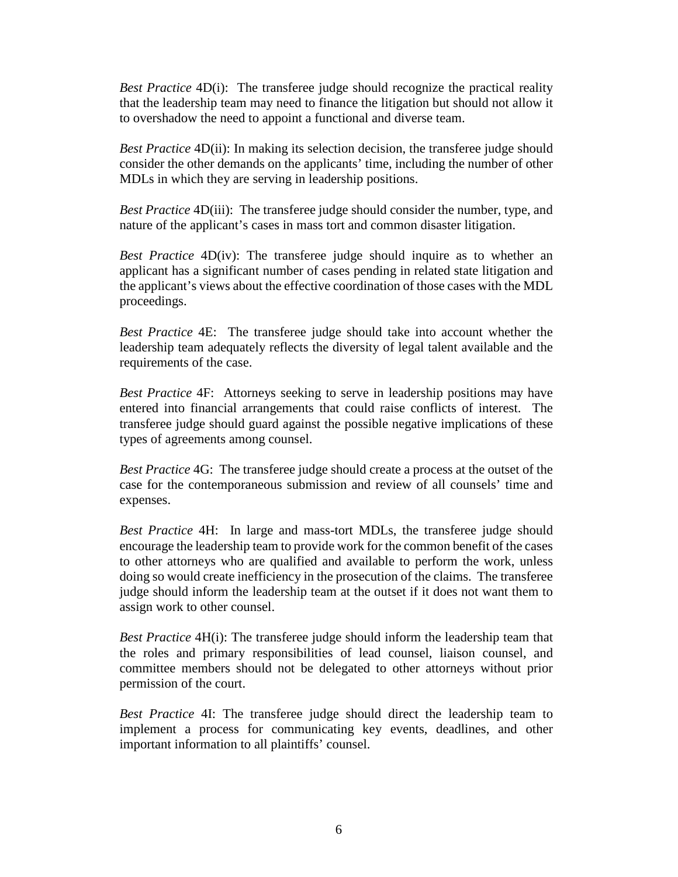*Best Practice* 4D(i): The transferee judge should recognize the practical reality that the leadership team may need to finance the litigation but should not allow it to overshadow the need to appoint a functional and diverse team.

*Best Practice* 4D(ii): In making its selection decision, the transferee judge should consider the other demands on the applicants' time, including the number of other MDLs in which they are serving in leadership positions.

*Best Practice* 4D(iii): The transferee judge should consider the number, type, and nature of the applicant's cases in mass tort and common disaster litigation.

*Best Practice* 4D(iv): The transferee judge should inquire as to whether an applicant has a significant number of cases pending in related state litigation and the applicant's views about the effective coordination of those cases with the MDL proceedings.

*Best Practice* 4E: The transferee judge should take into account whether the leadership team adequately reflects the diversity of legal talent available and the requirements of the case.

*Best Practice* 4F: Attorneys seeking to serve in leadership positions may have entered into financial arrangements that could raise conflicts of interest. The transferee judge should guard against the possible negative implications of these types of agreements among counsel.

*Best Practice* 4G: The transferee judge should create a process at the outset of the case for the contemporaneous submission and review of all counsels' time and expenses.

*Best Practice* 4H: In large and mass-tort MDLs, the transferee judge should encourage the leadership team to provide work for the common benefit of the cases to other attorneys who are qualified and available to perform the work, unless doing so would create inefficiency in the prosecution of the claims. The transferee judge should inform the leadership team at the outset if it does not want them to assign work to other counsel.

*Best Practice* 4H(i): The transferee judge should inform the leadership team that the roles and primary responsibilities of lead counsel, liaison counsel, and committee members should not be delegated to other attorneys without prior permission of the court.

*Best Practice* 4I: The transferee judge should direct the leadership team to implement a process for communicating key events, deadlines, and other important information to all plaintiffs' counsel.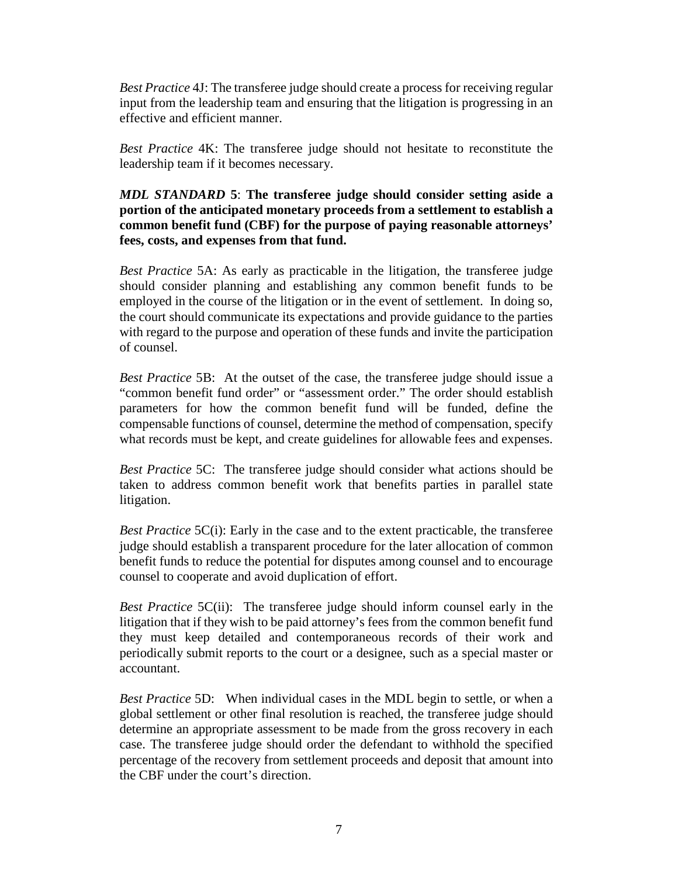*Best Practice* 4J: The transferee judge should create a process for receiving regular input from the leadership team and ensuring that the litigation is progressing in an effective and efficient manner.

*Best Practice* 4K: The transferee judge should not hesitate to reconstitute the leadership team if it becomes necessary.

# *MDL STANDARD* **5**: **The transferee judge should consider setting aside a portion of the anticipated monetary proceeds from a settlement to establish a common benefit fund (CBF) for the purpose of paying reasonable attorneys' fees, costs, and expenses from that fund.**

*Best Practice* 5A: As early as practicable in the litigation, the transferee judge should consider planning and establishing any common benefit funds to be employed in the course of the litigation or in the event of settlement. In doing so, the court should communicate its expectations and provide guidance to the parties with regard to the purpose and operation of these funds and invite the participation of counsel.

*Best Practice* 5B: At the outset of the case, the transferee judge should issue a "common benefit fund order" or "assessment order." The order should establish parameters for how the common benefit fund will be funded, define the compensable functions of counsel, determine the method of compensation, specify what records must be kept, and create guidelines for allowable fees and expenses.

*Best Practice* 5C: The transferee judge should consider what actions should be taken to address common benefit work that benefits parties in parallel state litigation.

*Best Practice* 5C(i): Early in the case and to the extent practicable, the transferee judge should establish a transparent procedure for the later allocation of common benefit funds to reduce the potential for disputes among counsel and to encourage counsel to cooperate and avoid duplication of effort.

*Best Practice* 5C(ii): The transferee judge should inform counsel early in the litigation that if they wish to be paid attorney's fees from the common benefit fund they must keep detailed and contemporaneous records of their work and periodically submit reports to the court or a designee, such as a special master or accountant.

*Best Practice* 5D: When individual cases in the MDL begin to settle, or when a global settlement or other final resolution is reached, the transferee judge should determine an appropriate assessment to be made from the gross recovery in each case. The transferee judge should order the defendant to withhold the specified percentage of the recovery from settlement proceeds and deposit that amount into the CBF under the court's direction.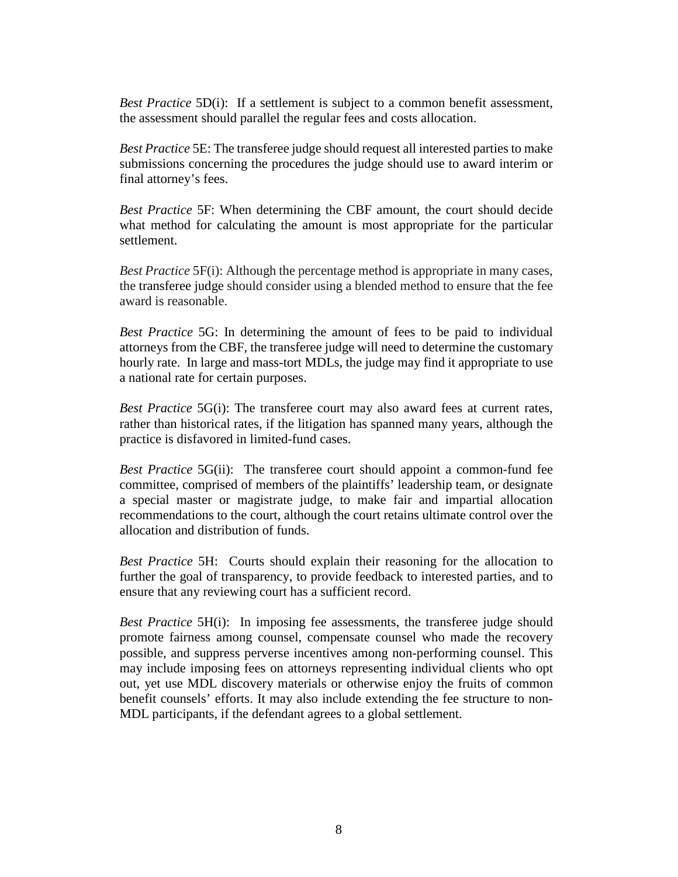*Best Practice* 5D(i): If a settlement is subject to a common benefit assessment, the assessment should parallel the regular fees and costs allocation.

*Best Practice* 5E: The transferee judge should request all interested parties to make submissions concerning the procedures the judge should use to award interim or final attorney's fees.

*Best Practice* 5F: When determining the CBF amount, the court should decide what method for calculating the amount is most appropriate for the particular settlement.

*Best Practice* 5F(i): Although the percentage method is appropriate in many cases, the transferee judge should consider using a blended method to ensure that the fee award is reasonable.

*Best Practice* 5G: In determining the amount of fees to be paid to individual attorneys from the CBF, the transferee judge will need to determine the customary hourly rate. In large and mass-tort MDLs, the judge may find it appropriate to use a national rate for certain purposes.

*Best Practice* 5G(i): The transferee court may also award fees at current rates, rather than historical rates, if the litigation has spanned many years, although the practice is disfavored in limited-fund cases.

*Best Practice* 5G(ii): The transferee court should appoint a common-fund fee committee, comprised of members of the plaintiffs' leadership team, or designate a special master or magistrate judge, to make fair and impartial allocation recommendations to the court, although the court retains ultimate control over the allocation and distribution of funds.

*Best Practice* 5H: Courts should explain their reasoning for the allocation to further the goal of transparency, to provide feedback to interested parties, and to ensure that any reviewing court has a sufficient record.

*Best Practice* 5H(i): In imposing fee assessments, the transferee judge should promote fairness among counsel, compensate counsel who made the recovery possible, and suppress perverse incentives among non-performing counsel. This may include imposing fees on attorneys representing individual clients who opt out, yet use MDL discovery materials or otherwise enjoy the fruits of common benefit counsels' efforts. It may also include extending the fee structure to non-MDL participants, if the defendant agrees to a global settlement.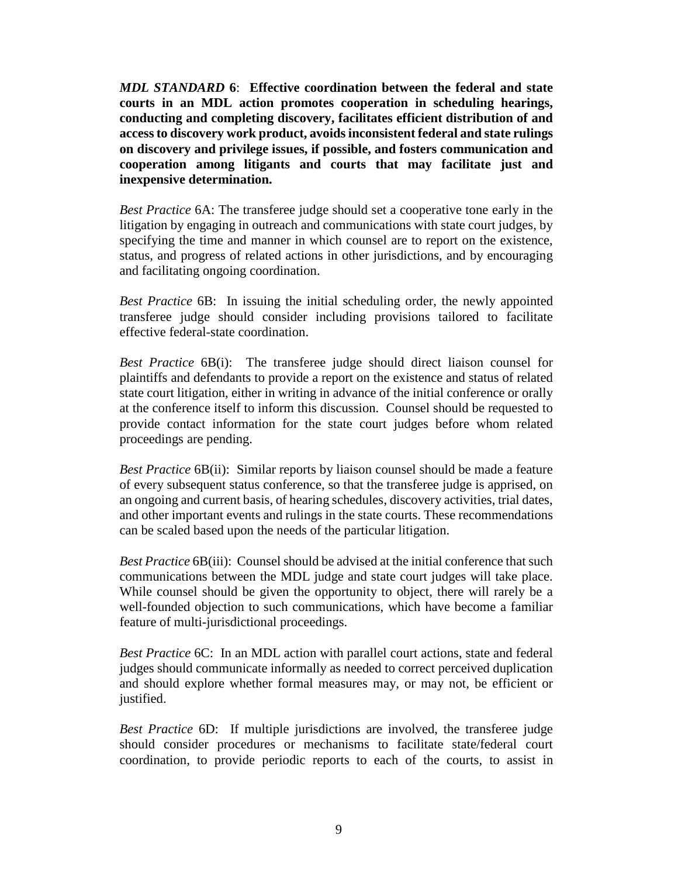*MDL STANDARD* **6**: **Effective coordination between the federal and state courts in an MDL action promotes cooperation in scheduling hearings, conducting and completing discovery, facilitates efficient distribution of and access to discovery work product, avoids inconsistent federal and state rulings on discovery and privilege issues, if possible, and fosters communication and cooperation among litigants and courts that may facilitate just and inexpensive determination.**

*Best Practice* 6A: The transferee judge should set a cooperative tone early in the litigation by engaging in outreach and communications with state court judges, by specifying the time and manner in which counsel are to report on the existence, status, and progress of related actions in other jurisdictions, and by encouraging and facilitating ongoing coordination.

*Best Practice* 6B: In issuing the initial scheduling order, the newly appointed transferee judge should consider including provisions tailored to facilitate effective federal-state coordination.

*Best Practice* 6B(i): The transferee judge should direct liaison counsel for plaintiffs and defendants to provide a report on the existence and status of related state court litigation, either in writing in advance of the initial conference or orally at the conference itself to inform this discussion. Counsel should be requested to provide contact information for the state court judges before whom related proceedings are pending.

*Best Practice* 6B(ii): Similar reports by liaison counsel should be made a feature of every subsequent status conference, so that the transferee judge is apprised, on an ongoing and current basis, of hearing schedules, discovery activities, trial dates, and other important events and rulings in the state courts. These recommendations can be scaled based upon the needs of the particular litigation.

*Best Practice* 6B(iii): Counsel should be advised at the initial conference that such communications between the MDL judge and state court judges will take place. While counsel should be given the opportunity to object, there will rarely be a well-founded objection to such communications, which have become a familiar feature of multi-jurisdictional proceedings.

*Best Practice* 6C: In an MDL action with parallel court actions, state and federal judges should communicate informally as needed to correct perceived duplication and should explore whether formal measures may, or may not, be efficient or justified.

*Best Practice* 6D: If multiple jurisdictions are involved, the transferee judge should consider procedures or mechanisms to facilitate state/federal court coordination, to provide periodic reports to each of the courts, to assist in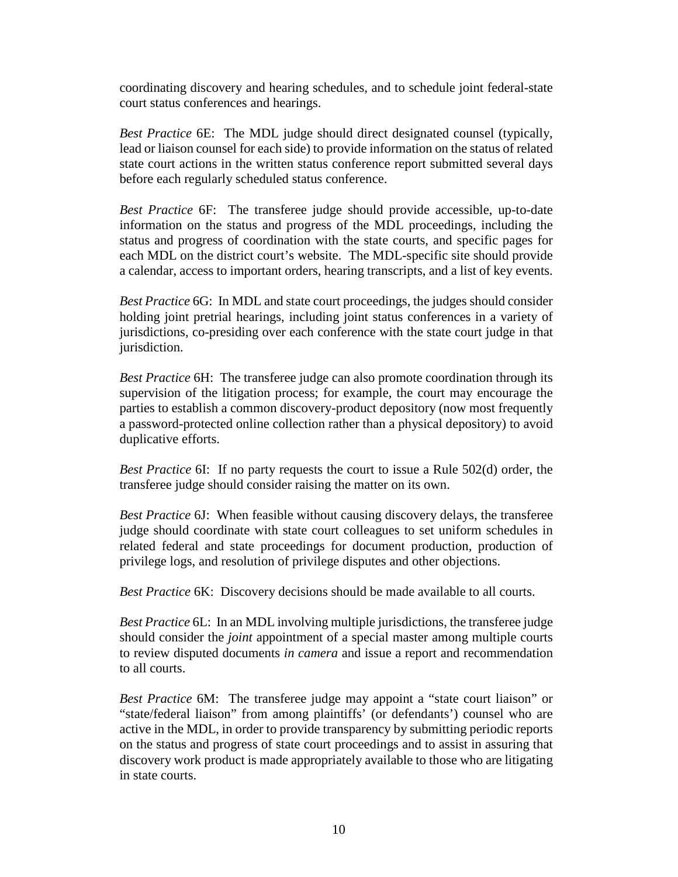coordinating discovery and hearing schedules, and to schedule joint federal-state court status conferences and hearings.

*Best Practice* 6E: The MDL judge should direct designated counsel (typically, lead or liaison counsel for each side) to provide information on the status of related state court actions in the written status conference report submitted several days before each regularly scheduled status conference.

*Best Practice* 6F: The transferee judge should provide accessible, up-to-date information on the status and progress of the MDL proceedings, including the status and progress of coordination with the state courts, and specific pages for each MDL on the district court's website. The MDL-specific site should provide a calendar, access to important orders, hearing transcripts, and a list of key events.

*Best Practice* 6G: In MDL and state court proceedings, the judges should consider holding joint pretrial hearings, including joint status conferences in a variety of jurisdictions, co-presiding over each conference with the state court judge in that jurisdiction.

*Best Practice* 6H: The transferee judge can also promote coordination through its supervision of the litigation process; for example, the court may encourage the parties to establish a common discovery-product depository (now most frequently a password-protected online collection rather than a physical depository) to avoid duplicative efforts.

*Best Practice* 6I: If no party requests the court to issue a Rule 502(d) order, the transferee judge should consider raising the matter on its own.

*Best Practice* 6J: When feasible without causing discovery delays, the transferee judge should coordinate with state court colleagues to set uniform schedules in related federal and state proceedings for document production, production of privilege logs, and resolution of privilege disputes and other objections.

*Best Practice* 6K: Discovery decisions should be made available to all courts.

*Best Practice* 6L: In an MDL involving multiple jurisdictions, the transferee judge should consider the *joint* appointment of a special master among multiple courts to review disputed documents *in camera* and issue a report and recommendation to all courts.

*Best Practice* 6M: The transferee judge may appoint a "state court liaison" or "state/federal liaison" from among plaintiffs' (or defendants') counsel who are active in the MDL, in order to provide transparency by submitting periodic reports on the status and progress of state court proceedings and to assist in assuring that discovery work product is made appropriately available to those who are litigating in state courts.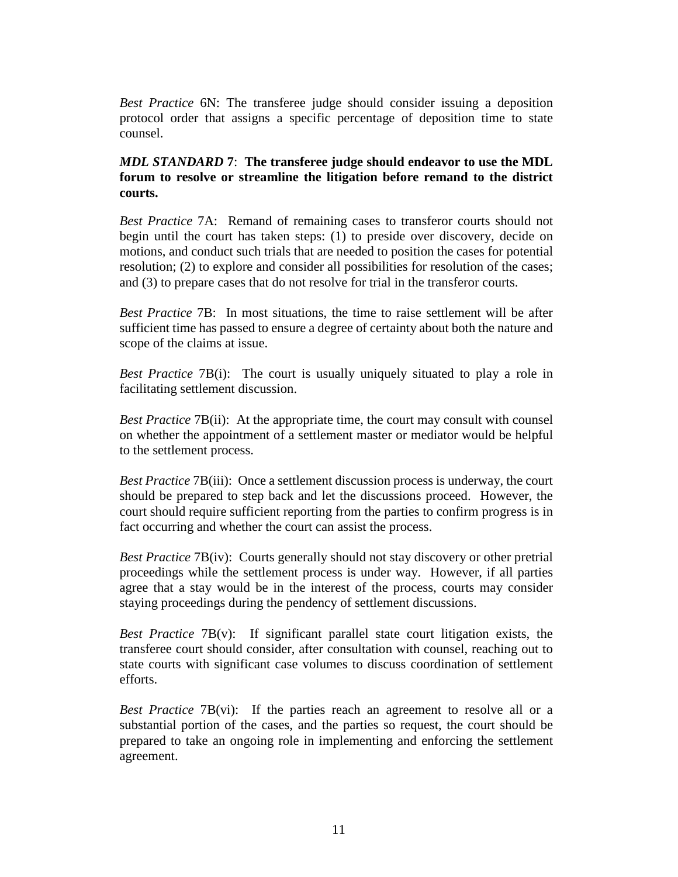*Best Practice* 6N: The transferee judge should consider issuing a deposition protocol order that assigns a specific percentage of deposition time to state counsel.

# *MDL STANDARD* **7**: **The transferee judge should endeavor to use the MDL forum to resolve or streamline the litigation before remand to the district courts.**

*Best Practice* 7A: Remand of remaining cases to transferor courts should not begin until the court has taken steps: (1) to preside over discovery, decide on motions, and conduct such trials that are needed to position the cases for potential resolution; (2) to explore and consider all possibilities for resolution of the cases; and (3) to prepare cases that do not resolve for trial in the transferor courts.

*Best Practice* 7B: In most situations, the time to raise settlement will be after sufficient time has passed to ensure a degree of certainty about both the nature and scope of the claims at issue.

*Best Practice* 7B(i): The court is usually uniquely situated to play a role in facilitating settlement discussion.

*Best Practice* 7B(ii): At the appropriate time, the court may consult with counsel on whether the appointment of a settlement master or mediator would be helpful to the settlement process.

*Best Practice* 7B(iii): Once a settlement discussion process is underway, the court should be prepared to step back and let the discussions proceed. However, the court should require sufficient reporting from the parties to confirm progress is in fact occurring and whether the court can assist the process.

*Best Practice* 7B(iv): Courts generally should not stay discovery or other pretrial proceedings while the settlement process is under way. However, if all parties agree that a stay would be in the interest of the process, courts may consider staying proceedings during the pendency of settlement discussions.

*Best Practice* 7B(v): If significant parallel state court litigation exists, the transferee court should consider, after consultation with counsel, reaching out to state courts with significant case volumes to discuss coordination of settlement efforts.

*Best Practice* 7B(vi): If the parties reach an agreement to resolve all or a substantial portion of the cases, and the parties so request, the court should be prepared to take an ongoing role in implementing and enforcing the settlement agreement.